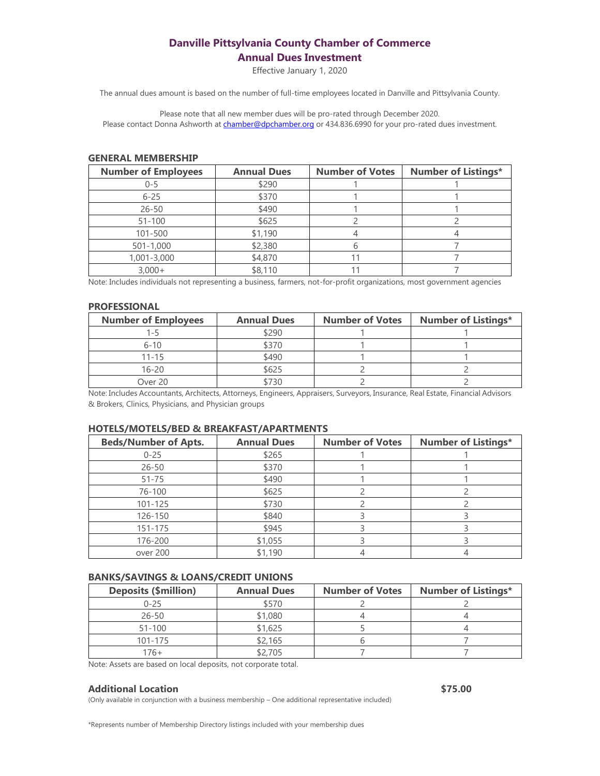# **Danville Pittsylvania County Chamber of Commerce Annual Dues Investment**

Effective January 1, 2020

The annual dues amount is based on the number of full-time employees located in Danville and Pittsylvania County.

Please note that all new member dues will be pro-rated through December 2020. Please contact Donna Ashworth at [chamber@dpchamber.org](mailto:chamber@dpchamber.org) or 434.836.6990 for your pro-rated dues investment.

#### **GENERAL MEMBERSHIP**

| <b>Number of Employees</b> | <b>Annual Dues</b> | <b>Number of Votes</b> | <b>Number of Listings*</b> |
|----------------------------|--------------------|------------------------|----------------------------|
| $0 - 5$                    | \$290              |                        |                            |
| $6 - 25$                   | \$370              |                        |                            |
| $26 - 50$                  | \$490              |                        |                            |
| $51 - 100$                 | \$625              |                        |                            |
| 101-500                    | \$1,190            |                        |                            |
| $501 - 1,000$              | \$2,380            |                        |                            |
| 1,001-3,000                | \$4,870            |                        |                            |
| $3,000+$                   | \$8,110            |                        |                            |

Note: Includes individuals not representing a business, farmers, not-for-profit organizations, most government agencies

### **PROFESSIONAL**

| <b>Number of Employees</b> | <b>Annual Dues</b> | <b>Number of Votes</b> | <b>Number of Listings*</b> |
|----------------------------|--------------------|------------------------|----------------------------|
| ユニト                        | \$290              |                        |                            |
| $6 - 10$                   | \$370              |                        |                            |
| 11-15                      | \$490              |                        |                            |
| $16 - 20$                  | \$625              |                        |                            |
| Over 20                    | 730                |                        |                            |

Note: Includes Accountants, Architects, Attorneys, Engineers, Appraisers, Surveyors, Insurance, Real Estate, Financial Advisors & Brokers, Clinics, Physicians, and Physician groups

## **HOTELS/MOTELS/BED & BREAKFAST/APARTMENTS**

| <b>Beds/Number of Apts.</b> | <b>Annual Dues</b> | <b>Number of Votes</b> | <b>Number of Listings*</b> |
|-----------------------------|--------------------|------------------------|----------------------------|
| $0 - 25$                    | \$265              |                        |                            |
| $26 - 50$                   | \$370              |                        |                            |
| $51 - 75$                   | \$490              |                        |                            |
| 76-100                      | \$625              |                        |                            |
| 101-125                     | \$730              |                        |                            |
| 126-150                     | \$840              |                        |                            |
| 151-175                     | \$945              |                        |                            |
| 176-200                     | \$1,055            |                        |                            |
| over 200                    | \$1,190            |                        |                            |

## **BANKS/SAVINGS & LOANS/CREDIT UNIONS**

| <b>Deposits (\$million)</b> | <b>Annual Dues</b> | <b>Number of Votes</b> | <b>Number of Listings*</b> |
|-----------------------------|--------------------|------------------------|----------------------------|
| $0 - 25$                    | \$570              |                        |                            |
| $26 - 50$                   | \$1,080            |                        |                            |
| $51 - 100$                  | \$1,625            |                        |                            |
| 101-175                     | \$2,165            |                        |                            |
| 176+                        | 2,705              |                        |                            |

Note: Assets are based on local deposits, not corporate total.

### **Additional Location \$75.00**

(Only available in conjunction with a business membership – One additional representative included)

\*Represents number of Membership Directory listings included with your membership dues